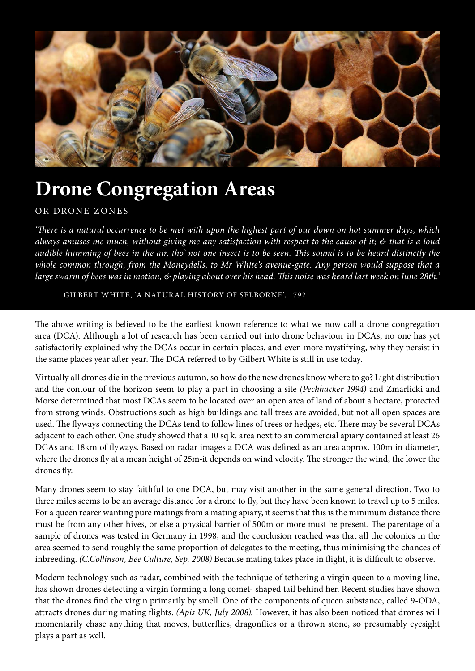

# **Drone Congregation Areas**

## OR DRONE ZONES

*'There is a natural occurrence to be met with upon the highest part of our down on hot summer days, which always amuses me much, without giving me any satisfaction with respect to the cause of it; & that is a loud audible humming of bees in the air, tho' not one insect is to be seen. This sound is to be heard distinctly the whole common through, from the Moneydells, to Mr White's avenue-gate. Any person would suppose that a large swarm of bees was in motion, & playing about over his head. This noise was heard last week on June 28th.'*

## GILBERT WHITE, 'A NATURAL HISTORY OF SELBORNE', 1792

The above writing is believed to be the earliest known reference to what we now call a drone congregation area (DCA). Although a lot of research has been carried out into drone behaviour in DCAs, no one has yet satisfactorily explained why the DCAs occur in certain places, and even more mystifying, why they persist in the same places year after year. The DCA referred to by Gilbert White is still in use today.

Virtually all drones die in the previous autumn, so how do the new drones know where to go? Light distribution and the contour of the horizon seem to play a part in choosing a site *(Pechhacker 1994)* and Zmarlicki and Morse determined that most DCAs seem to be located over an open area of land of about a hectare, protected from strong winds. Obstructions such as high buildings and tall trees are avoided, but not all open spaces are used. The flyways connecting the DCAs tend to follow lines of trees or hedges, etc. There may be several DCAs adjacent to each other. One study showed that a 10 sq k. area next to an commercial apiary contained at least 26 DCAs and 18km of flyways. Based on radar images a DCA was defined as an area approx. 100m in diameter, where the drones fly at a mean height of 25m-it depends on wind velocity. The stronger the wind, the lower the drones fly.

Many drones seem to stay faithful to one DCA, but may visit another in the same general direction. Two to three miles seems to be an average distance for a drone to fly, but they have been known to travel up to 5 miles. For a queen rearer wanting pure matings from a mating apiary, it seems that this is the minimum distance there must be from any other hives, or else a physical barrier of 500m or more must be present. The parentage of a sample of drones was tested in Germany in 1998, and the conclusion reached was that all the colonies in the area seemed to send roughly the same proportion of delegates to the meeting, thus minimising the chances of inbreeding. *(C.Collinson, Bee Culture, Sep. 2008)* Because mating takes place in flight, it is difficult to observe.

Modern technology such as radar, combined with the technique of tethering a virgin queen to a moving line, has shown drones detecting a virgin forming a long comet- shaped tail behind her. Recent studies have shown that the drones find the virgin primarily by smell. One of the components of queen substance, called 9-ODA, attracts drones during mating flights. *(Apis UK, July 2008).* However, it has also been noticed that drones will momentarily chase anything that moves, butterflies, dragonflies or a thrown stone, so presumably eyesight plays a part as well.